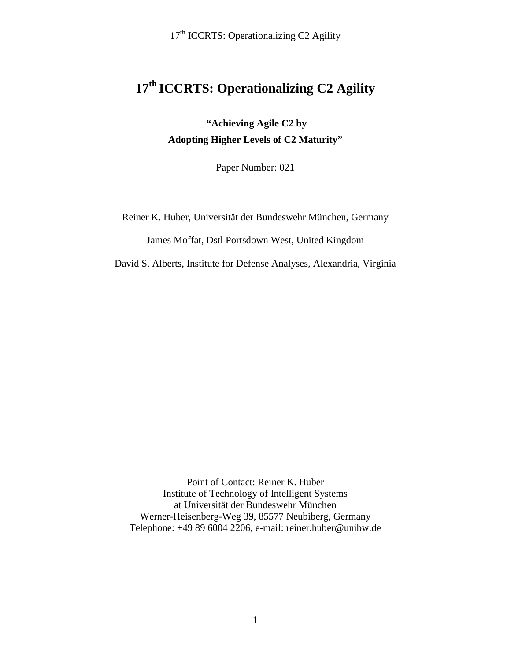17<sup>th</sup> ICCRTS: Operationalizing C2 Agility

## **17th ICCRTS: Operationalizing C2 Agility**

**"Achieving Agile C2 by Adopting Higher Levels of C2 Maturity"**

Paper Number: 021

Reiner K. Huber, Universität der Bundeswehr München, Germany

James Moffat, Dstl Portsdown West, United Kingdom

David S. Alberts, Institute for Defense Analyses, Alexandria, Virginia

Point of Contact: Reiner K. Huber Institute of Technology of Intelligent Systems at Universität der Bundeswehr München Werner-Heisenberg-Weg 39, 85577 Neubiberg, Germany Telephone: +49 89 6004 2206, e-mail: reiner.huber@unibw.de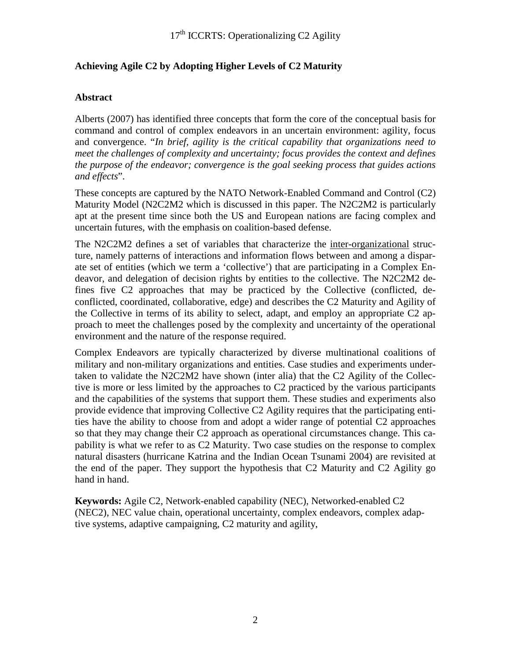## **Achieving Agile C2 by Adopting Higher Levels of C2 Maturity**

## **Abstract**

Alberts (2007) has identified three concepts that form the core of the conceptual basis for command and control of complex endeavors in an uncertain environment: agility, focus and convergence. "*In brief, agility is the critical capability that organizations need to meet the challenges of complexity and uncertainty; focus provides the context and defines the purpose of the endeavor; convergence is the goal seeking process that guides actions and effects*".

These concepts are captured by the NATO Network-Enabled Command and Control (C2) Maturity Model (N2C2M2 which is discussed in this paper. The N2C2M2 is particularly apt at the present time since both the US and European nations are facing complex and uncertain futures, with the emphasis on coalition-based defense.

The N2C2M2 defines a set of variables that characterize the inter-organizational structure, namely patterns of interactions and information flows between and among a disparate set of entities (which we term a 'collective') that are participating in a Complex Endeavor, and delegation of decision rights by entities to the collective. The N2C2M2 defines five C2 approaches that may be practiced by the Collective (conflicted, deconflicted, coordinated, collaborative, edge) and describes the C2 Maturity and Agility of the Collective in terms of its ability to select, adapt, and employ an appropriate C2 approach to meet the challenges posed by the complexity and uncertainty of the operational environment and the nature of the response required.

Complex Endeavors are typically characterized by diverse multinational coalitions of military and non-military organizations and entities. Case studies and experiments undertaken to validate the N2C2M2 have shown (inter alia) that the C2 Agility of the Collective is more or less limited by the approaches to C2 practiced by the various participants and the capabilities of the systems that support them. These studies and experiments also provide evidence that improving Collective C2 Agility requires that the participating entities have the ability to choose from and adopt a wider range of potential C2 approaches so that they may change their C2 approach as operational circumstances change. This capability is what we refer to as C2 Maturity. Two case studies on the response to complex natural disasters (hurricane Katrina and the Indian Ocean Tsunami 2004) are revisited at the end of the paper. They support the hypothesis that C2 Maturity and C2 Agility go hand in hand.

**Keywords:** Agile C2, Network-enabled capability (NEC), Networked-enabled C2 (NEC2), NEC value chain, operational uncertainty, complex endeavors, complex adaptive systems, adaptive campaigning, C2 maturity and agility,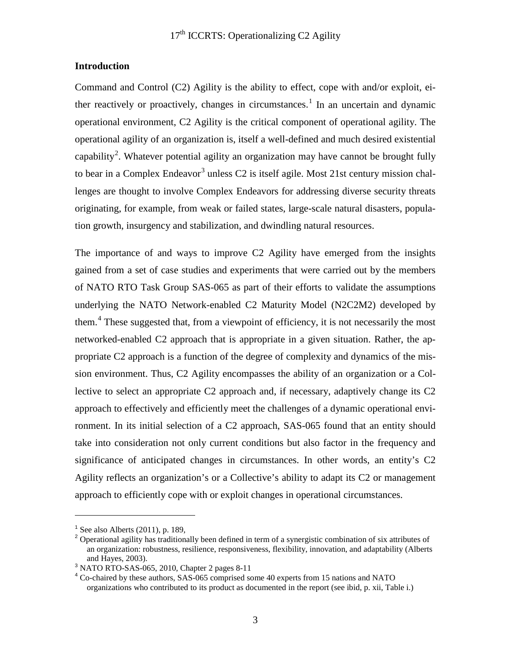#### **Introduction**

Command and Control (C2) Agility is the ability to effect, cope with and/or exploit, ei-ther reactively or proactively, changes in circumstances.<sup>[1](#page-2-0)</sup> In an uncertain and dynamic operational environment, C2 Agility is the critical component of operational agility. The operational agility of an organization is, itself a well-defined and much desired existential capability<sup>[2](#page-2-1)</sup>. Whatever potential agility an organization may have cannot be brought fully to bear in a Complex Endeavor<sup>[3](#page-2-2)</sup> unless C2 is itself agile. Most 21st century mission challenges are thought to involve Complex Endeavors for addressing diverse security threats originating, for example, from weak or failed states, large-scale natural disasters, population growth, insurgency and stabilization, and dwindling natural resources.

The importance of and ways to improve C2 Agility have emerged from the insights gained from a set of case studies and experiments that were carried out by the members of NATO RTO Task Group SAS-065 as part of their efforts to validate the assumptions underlying the NATO Network-enabled C2 Maturity Model (N2C2M2) developed by them. [4](#page-2-3) These suggested that, from a viewpoint of efficiency, it is not necessarily the most networked-enabled C2 approach that is appropriate in a given situation. Rather, the appropriate C2 approach is a function of the degree of complexity and dynamics of the mission environment. Thus, C2 Agility encompasses the ability of an organization or a Collective to select an appropriate C2 approach and, if necessary, adaptively change its C2 approach to effectively and efficiently meet the challenges of a dynamic operational environment. In its initial selection of a C2 approach, SAS-065 found that an entity should take into consideration not only current conditions but also factor in the frequency and significance of anticipated changes in circumstances. In other words, an entity's C2 Agility reflects an organization's or a Collective's ability to adapt its C2 or management approach to efficiently cope with or exploit changes in operational circumstances.

 $\overline{a}$ 

 $<sup>1</sup>$  See also Alberts (2011), p. 189,</sup>

<span id="page-2-1"></span><span id="page-2-0"></span><sup>&</sup>lt;sup>2</sup> Operational agility has traditionally been defined in term of a synergistic combination of six attributes of an organization: robustness, resilience, responsiveness, flexibility, innovation, and adaptability (Alberts and Hayes, 2003).

<span id="page-2-2"></span><sup>3</sup> NATO RTO-SAS-065, 2010, Chapter 2 pages 8-11

<span id="page-2-3"></span><sup>4</sup> Co-chaired by these authors, SAS-065 comprised some 40 experts from 15 nations and NATO organizations who contributed to its product as documented in the report (see ibid, p. xii, Table i.)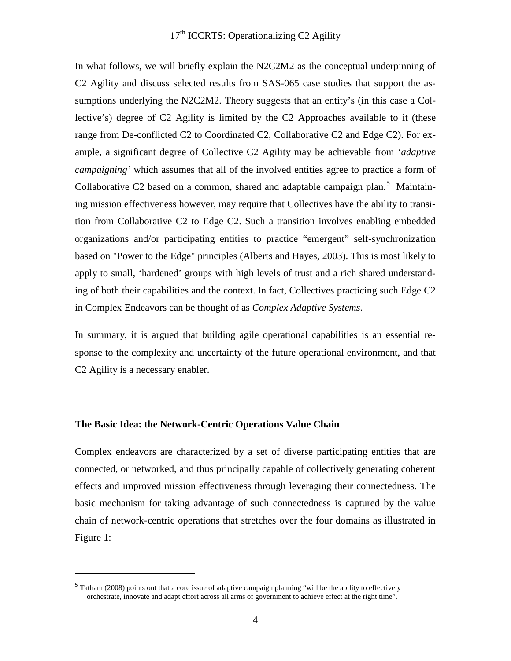In what follows, we will briefly explain the N2C2M2 as the conceptual underpinning of C2 Agility and discuss selected results from SAS-065 case studies that support the assumptions underlying the N2C2M2. Theory suggests that an entity's (in this case a Collective's) degree of C2 Agility is limited by the C2 Approaches available to it (these range from De-conflicted C2 to Coordinated C2, Collaborative C2 and Edge C2). For example, a significant degree of Collective C2 Agility may be achievable from '*adaptive campaigning'* which assumes that all of the involved entities agree to practice a form of Collaborative C2 based on a common, shared and adaptable campaign plan.<sup>[5](#page-3-0)</sup> Maintaining mission effectiveness however, may require that Collectives have the ability to transition from Collaborative C2 to Edge C2. Such a transition involves enabling embedded organizations and/or participating entities to practice "emergent" self-synchronization based on "Power to the Edge" principles (Alberts and Hayes, 2003). This is most likely to apply to small, 'hardened' groups with high levels of trust and a rich shared understanding of both their capabilities and the context. In fact, Collectives practicing such Edge C2 in Complex Endeavors can be thought of as *Complex Adaptive Systems*.

In summary, it is argued that building agile operational capabilities is an essential response to the complexity and uncertainty of the future operational environment, and that C2 Agility is a necessary enabler.

#### **The Basic Idea: the Network-Centric Operations Value Chain**

 $\overline{a}$ 

Complex endeavors are characterized by a set of diverse participating entities that are connected, or networked, and thus principally capable of collectively generating coherent effects and improved mission effectiveness through leveraging their connectedness. The basic mechanism for taking advantage of such connectedness is captured by the value chain of network-centric operations that stretches over the four domains as illustrated in Figure 1:

<span id="page-3-0"></span><sup>5</sup> Tatham (2008) points out that a core issue of adaptive campaign planning "will be the ability to effectively orchestrate, innovate and adapt effort across all arms of government to achieve effect at the right time".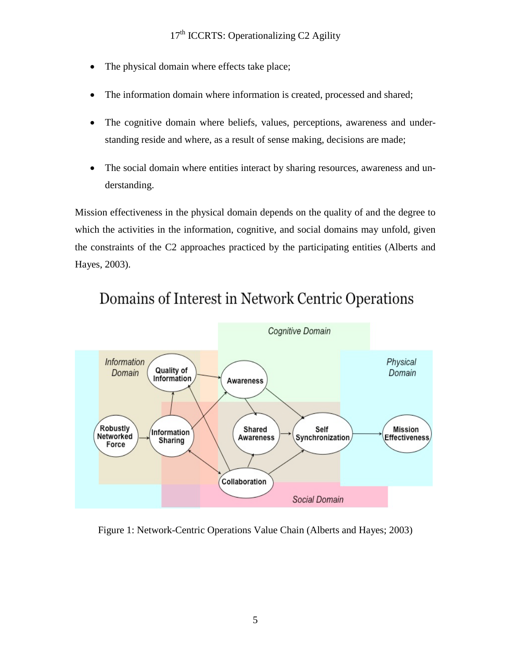- The physical domain where effects take place;
- The information domain where information is created, processed and shared;
- The cognitive domain where beliefs, values, perceptions, awareness and understanding reside and where, as a result of sense making, decisions are made;
- The social domain where entities interact by sharing resources, awareness and understanding.

Mission effectiveness in the physical domain depends on the quality of and the degree to which the activities in the information, cognitive, and social domains may unfold, given the constraints of the C2 approaches practiced by the participating entities (Alberts and Hayes, 2003).



# Domains of Interest in Network Centric Operations

Figure 1: Network-Centric Operations Value Chain (Alberts and Hayes; 2003)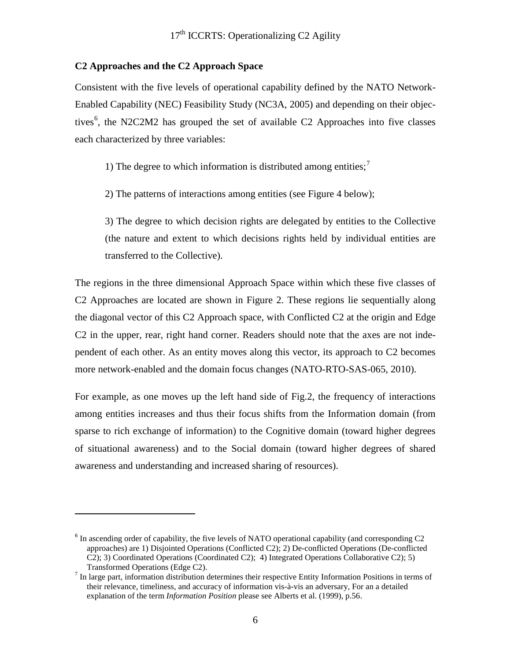#### **C2 Approaches and the C2 Approach Space**

 $\overline{a}$ 

Consistent with the five levels of operational capability defined by the NATO Network-Enabled Capability (NEC) Feasibility Study (NC3A, 2005) and depending on their objec-tives<sup>[6](#page-5-0)</sup>, the N2C2M2 has grouped the set of available C2 Approaches into five classes each characterized by three variables:

1) The degree to which information is distributed among entities;<sup>[7](#page-5-1)</sup>

2) The patterns of interactions among entities (see Figure 4 below);

3) The degree to which decision rights are delegated by entities to the Collective (the nature and extent to which decisions rights held by individual entities are transferred to the Collective).

The regions in the three dimensional Approach Space within which these five classes of C2 Approaches are located are shown in Figure 2. These regions lie sequentially along the diagonal vector of this C2 Approach space, with Conflicted C2 at the origin and Edge C2 in the upper, rear, right hand corner. Readers should note that the axes are not independent of each other. As an entity moves along this vector, its approach to C2 becomes more network-enabled and the domain focus changes (NATO-RTO-SAS-065, 2010).

For example, as one moves up the left hand side of Fig.2, the frequency of interactions among entities increases and thus their focus shifts from the Information domain (from sparse to rich exchange of information) to the Cognitive domain (toward higher degrees of situational awareness) and to the Social domain (toward higher degrees of shared awareness and understanding and increased sharing of resources).

<span id="page-5-0"></span> $6$  In ascending order of capability, the five levels of NATO operational capability (and corresponding C2 approaches) are 1) Disjointed Operations (Conflicted C2); 2) De-conflicted Operations (De-conflicted C2); 3) Coordinated Operations (Coordinated C2); 4) Integrated Operations Collaborative C2); 5) Transformed Operations (Edge C2).<br><sup>7</sup> In large part, information distribution determines their respective Entity Information Positions in terms of

<span id="page-5-1"></span>their relevance, timeliness, and accuracy of information vis-à-vis an adversary, For an a detailed explanation of the term *Information Position* please see Alberts et al. (1999), p.56.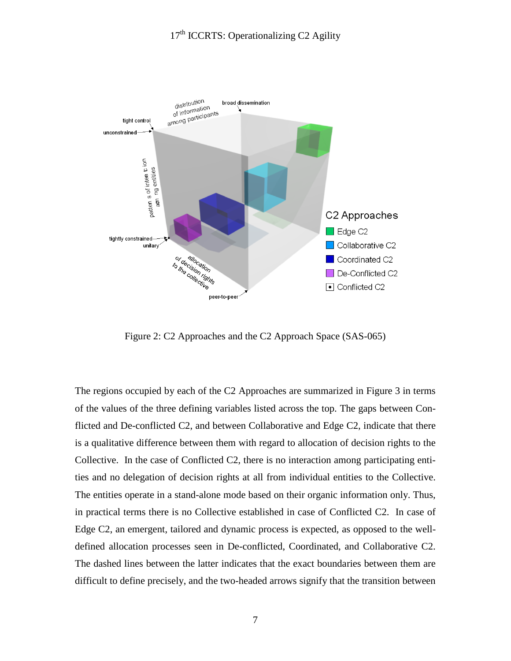

Figure 2: C2 Approaches and the C2 Approach Space (SAS-065)

The regions occupied by each of the C2 Approaches are summarized in Figure 3 in terms of the values of the three defining variables listed across the top. The gaps between Conflicted and De-conflicted C2, and between Collaborative and Edge C2, indicate that there is a qualitative difference between them with regard to allocation of decision rights to the Collective. In the case of Conflicted C2, there is no interaction among participating entities and no delegation of decision rights at all from individual entities to the Collective. The entities operate in a stand-alone mode based on their organic information only. Thus, in practical terms there is no Collective established in case of Conflicted C2. In case of Edge C2, an emergent, tailored and dynamic process is expected, as opposed to the welldefined allocation processes seen in De-conflicted, Coordinated, and Collaborative C2. The dashed lines between the latter indicates that the exact boundaries between them are difficult to define precisely, and the two-headed arrows signify that the transition between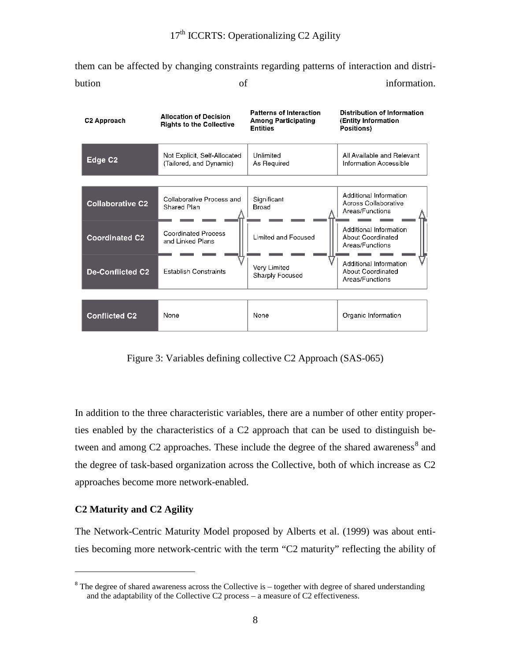them can be affected by changing constraints regarding patterns of interaction and distribution of information.

| C <sub>2</sub> Approach | <b>Allocation of Decision</b><br><b>Rights to the Collective</b> | <b>Patterns of Interaction</b><br><b>Among Participating</b><br><b>Entities</b> | Distribution of Information<br>(Entity Information<br>Positions)      |
|-------------------------|------------------------------------------------------------------|---------------------------------------------------------------------------------|-----------------------------------------------------------------------|
| Edge C <sub>2</sub>     | Not Explicit, Self-Allocated<br>(Tailored, and Dynamic)          | Unlimited<br>As Required                                                        | All Available and Relevant<br>Information Accessible                  |
|                         |                                                                  |                                                                                 |                                                                       |
| <b>Collaborative C2</b> | Collaborative Process and<br>Shared Plan                         | Significant<br>Broad                                                            | Additional Information<br>Across Collaborative<br>Areas/Functions     |
| <b>Coordinated C2</b>   | Coordinated Process<br>and Linked Plans                          | Limited and Focused                                                             | Additional Information<br><b>About Coordinated</b><br>Areas/Functions |
| <b>De-Conflicted C2</b> | <b>Establish Constraints</b>                                     | Very Limited<br>Sharply Focused                                                 | Additional Information<br>About Coordinated<br>Areas/Functions        |
|                         |                                                                  |                                                                                 |                                                                       |
| <b>Conflicted C2</b>    | None                                                             | None                                                                            | Organic Information                                                   |

Figure 3: Variables defining collective C2 Approach (SAS-065)

In addition to the three characteristic variables, there are a number of other entity properties enabled by the characteristics of a C2 approach that can be used to distinguish be-tween and among C2 approaches. These include the degree of the shared awareness<sup>[8](#page-7-0)</sup> and the degree of task-based organization across the Collective, both of which increase as C2 approaches become more network-enabled.

## **C2 Maturity and C2 Agility**

 $\overline{a}$ 

The Network-Centric Maturity Model proposed by Alberts et al. (1999) was about entities becoming more network-centric with the term "C2 maturity" reflecting the ability of

<span id="page-7-0"></span> $8$  The degree of shared awareness across the Collective is – together with degree of shared understanding and the adaptability of the Collective C2 process – a measure of C2 effectiveness.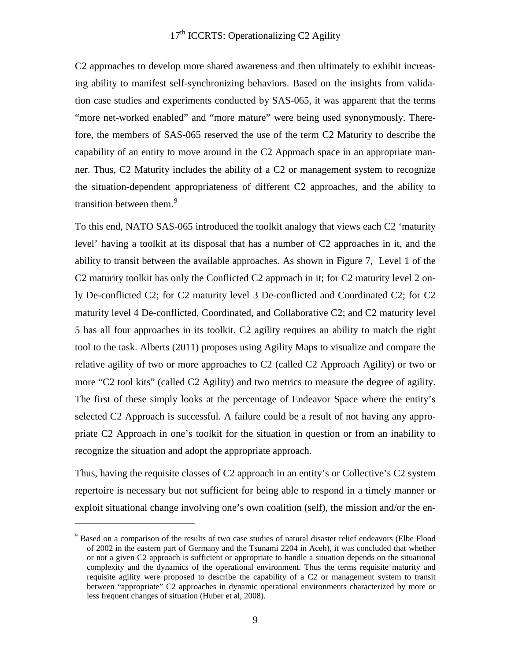## $17<sup>th</sup>$  ICCRTS: Operationalizing C2 Agility

C2 approaches to develop more shared awareness and then ultimately to exhibit increasing ability to manifest self-synchronizing behaviors. Based on the insights from validation case studies and experiments conducted by SAS-065, it was apparent that the terms "more net-worked enabled" and "more mature" were being used synonymously. Therefore, the members of SAS-065 reserved the use of the term C2 Maturity to describe the capability of an entity to move around in the C2 Approach space in an appropriate manner. Thus, C2 Maturity includes the ability of a C2 or management system to recognize the situation-dependent appropriateness of different C2 approaches, and the ability to transition between them.<sup>[9](#page-8-0)</sup>

To this end, NATO SAS-065 introduced the toolkit analogy that views each C2 'maturity level' having a toolkit at its disposal that has a number of C2 approaches in it, and the ability to transit between the available approaches. As shown in Figure 7, Level 1 of the C2 maturity toolkit has only the Conflicted C2 approach in it; for C2 maturity level 2 only De-conflicted C2; for C2 maturity level 3 De-conflicted and Coordinated C2; for C2 maturity level 4 De-conflicted, Coordinated, and Collaborative C2; and C2 maturity level 5 has all four approaches in its toolkit. C2 agility requires an ability to match the right tool to the task. Alberts (2011) proposes using Agility Maps to visualize and compare the relative agility of two or more approaches to C2 (called C2 Approach Agility) or two or more "C2 tool kits" (called C2 Agility) and two metrics to measure the degree of agility. The first of these simply looks at the percentage of Endeavor Space where the entity's selected C2 Approach is successful. A failure could be a result of not having any appropriate C2 Approach in one's toolkit for the situation in question or from an inability to recognize the situation and adopt the appropriate approach.

Thus, having the requisite classes of C2 approach in an entity's or Collective's C2 system repertoire is necessary but not sufficient for being able to respond in a timely manner or exploit situational change involving one's own coalition (self), the mission and/or the en-

 $\overline{a}$ 

<span id="page-8-0"></span><sup>&</sup>lt;sup>9</sup> Based on a comparison of the results of two case studies of natural disaster relief endeavors (Elbe Flood of 2002 in the eastern part of Germany and the Tsunami 2204 in Aceh), it was concluded that whether or not a given C2 approach is sufficient or appropriate to handle a situation depends on the situational complexity and the dynamics of the operational environment. Thus the terms requisite maturity and requisite agility were proposed to describe the capability of a C2 or management system to transit between "appropriate" C2 approaches in dynamic operational environments characterized by more or less frequent changes of situation (Huber et al, 2008).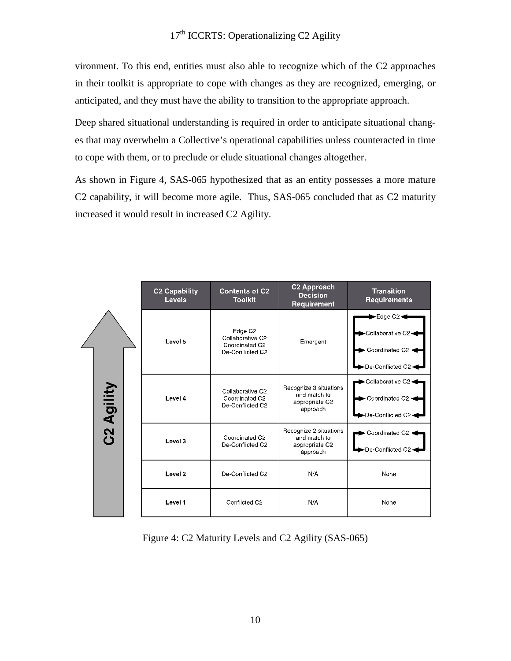vironment. To this end, entities must also able to recognize which of the C2 approaches in their toolkit is appropriate to cope with changes as they are recognized, emerging, or anticipated, and they must have the ability to transition to the appropriate approach.

Deep shared situational understanding is required in order to anticipate situational changes that may overwhelm a Collective's operational capabilities unless counteracted in time to cope with them, or to preclude or elude situational changes altogether.

As shown in Figure 4, SAS-065 hypothesized that as an entity possesses a more mature C2 capability, it will become more agile. Thus, SAS-065 concluded that as C2 maturity increased it would result in increased C2 Agility.

|            | <b>C2 Capability</b><br><b>Levels</b> | <b>Contents of C2</b><br><b>Toolkit</b>                                       | C2 Approach<br>Decision<br>Requirement                               | <b>Transition</b><br><b>Requirements</b>                                |
|------------|---------------------------------------|-------------------------------------------------------------------------------|----------------------------------------------------------------------|-------------------------------------------------------------------------|
|            | Level 5                               | Edge C <sub>2</sub><br>Collaborative C2<br>Coordinated C2<br>De-Conflicted C2 | Emergent                                                             | ►Edge C2<br>Collaborative C2+<br>Coordinated C2 -<br>De-Conflicted C2 - |
| C2 Agility | Level 4                               | Collaborative C2<br>Coordinated C2<br>De-Conflicted C2                        | Recognize 3 situations<br>and match to<br>appropriate C2<br>approach | Collaborative C2-<br>Coordinated C2 -<br>-De-Conflicted C2 -            |
|            | Level 3                               | Coordinated C <sub>2</sub><br>De-Conflicted C2                                | Recognize 2 situations<br>and match to<br>appropriate C2<br>approach | Coordinated C2 -<br>De-Conflicted C2-                                   |
|            | Level <sub>2</sub>                    | De-Conflicted C2                                                              | N/A                                                                  | None                                                                    |
|            | Level 1                               | Conflicted C2                                                                 | N/A                                                                  | None                                                                    |

Figure 4: C2 Maturity Levels and C2 Agility (SAS-065)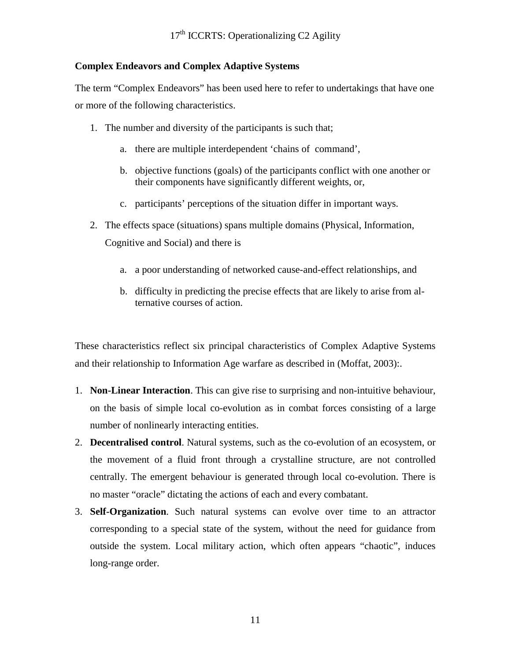## **Complex Endeavors and Complex Adaptive Systems**

The term "Complex Endeavors" has been used here to refer to undertakings that have one or more of the following characteristics.

- 1. The number and diversity of the participants is such that;
	- a. there are multiple interdependent 'chains of command',
	- b. objective functions (goals) of the participants conflict with one another or their components have significantly different weights, or,
	- c. participants' perceptions of the situation differ in important ways.
- 2. The effects space (situations) spans multiple domains (Physical, Information, Cognitive and Social) and there is
	- a. a poor understanding of networked cause-and-effect relationships, and
	- b. difficulty in predicting the precise effects that are likely to arise from alternative courses of action.

These characteristics reflect six principal characteristics of Complex Adaptive Systems and their relationship to Information Age warfare as described in (Moffat, 2003):.

- 1. **Non-Linear Interaction**. This can give rise to surprising and non-intuitive behaviour, on the basis of simple local co-evolution as in combat forces consisting of a large number of nonlinearly interacting entities.
- 2. **Decentralised control**. Natural systems, such as the co-evolution of an ecosystem, or the movement of a fluid front through a crystalline structure, are not controlled centrally. The emergent behaviour is generated through local co-evolution. There is no master "oracle" dictating the actions of each and every combatant.
- 3. **Self-Organization**. Such natural systems can evolve over time to an attractor corresponding to a special state of the system, without the need for guidance from outside the system. Local military action, which often appears "chaotic", induces long-range order.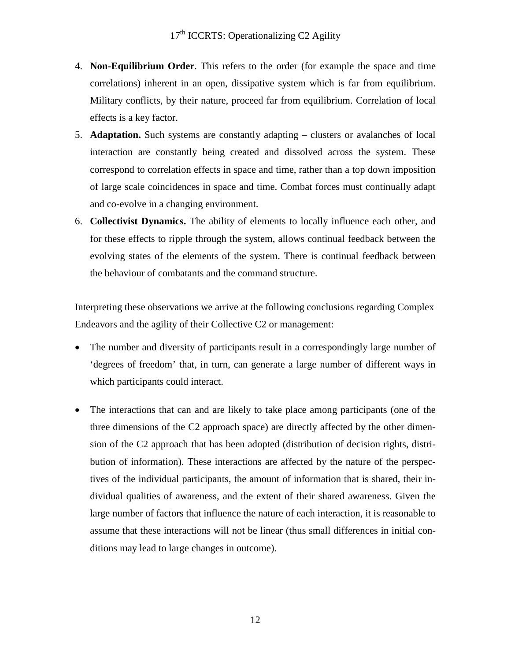- 4. **Non-Equilibrium Order**. This refers to the order (for example the space and time correlations) inherent in an open, dissipative system which is far from equilibrium. Military conflicts, by their nature, proceed far from equilibrium. Correlation of local effects is a key factor.
- 5. **Adaptation.** Such systems are constantly adapting clusters or avalanches of local interaction are constantly being created and dissolved across the system. These correspond to correlation effects in space and time, rather than a top down imposition of large scale coincidences in space and time. Combat forces must continually adapt and co-evolve in a changing environment.
- 6. **Collectivist Dynamics.** The ability of elements to locally influence each other, and for these effects to ripple through the system, allows continual feedback between the evolving states of the elements of the system. There is continual feedback between the behaviour of combatants and the command structure.

Interpreting these observations we arrive at the following conclusions regarding Complex Endeavors and the agility of their Collective C2 or management:

- The number and diversity of participants result in a correspondingly large number of 'degrees of freedom' that, in turn, can generate a large number of different ways in which participants could interact.
- The interactions that can and are likely to take place among participants (one of the three dimensions of the C2 approach space) are directly affected by the other dimension of the C2 approach that has been adopted (distribution of decision rights, distribution of information). These interactions are affected by the nature of the perspectives of the individual participants, the amount of information that is shared, their individual qualities of awareness, and the extent of their shared awareness. Given the large number of factors that influence the nature of each interaction, it is reasonable to assume that these interactions will not be linear (thus small differences in initial conditions may lead to large changes in outcome).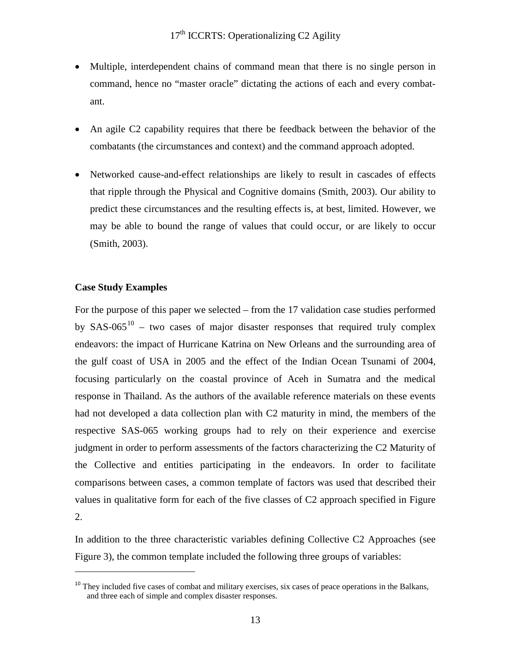- Multiple, interdependent chains of command mean that there is no single person in command, hence no "master oracle" dictating the actions of each and every combatant.
- An agile C2 capability requires that there be feedback between the behavior of the combatants (the circumstances and context) and the command approach adopted.
- Networked cause-and-effect relationships are likely to result in cascades of effects that ripple through the Physical and Cognitive domains (Smith, 2003). Our ability to predict these circumstances and the resulting effects is, at best, limited. However, we may be able to bound the range of values that could occur, or are likely to occur (Smith, 2003).

## **Case Study Examples**

 $\overline{a}$ 

For the purpose of this paper we selected – from the 17 validation case studies performed by SAS-065<sup>[10](#page-12-0)</sup> – two cases of major disaster responses that required truly complex endeavors: the impact of Hurricane Katrina on New Orleans and the surrounding area of the gulf coast of USA in 2005 and the effect of the Indian Ocean Tsunami of 2004, focusing particularly on the coastal province of Aceh in Sumatra and the medical response in Thailand. As the authors of the available reference materials on these events had not developed a data collection plan with C2 maturity in mind, the members of the respective SAS-065 working groups had to rely on their experience and exercise judgment in order to perform assessments of the factors characterizing the C2 Maturity of the Collective and entities participating in the endeavors. In order to facilitate comparisons between cases, a common template of factors was used that described their values in qualitative form for each of the five classes of C2 approach specified in Figure 2.

In addition to the three characteristic variables defining Collective C2 Approaches (see Figure 3), the common template included the following three groups of variables:

<span id="page-12-0"></span> $10$  They included five cases of combat and military exercises, six cases of peace operations in the Balkans, and three each of simple and complex disaster responses.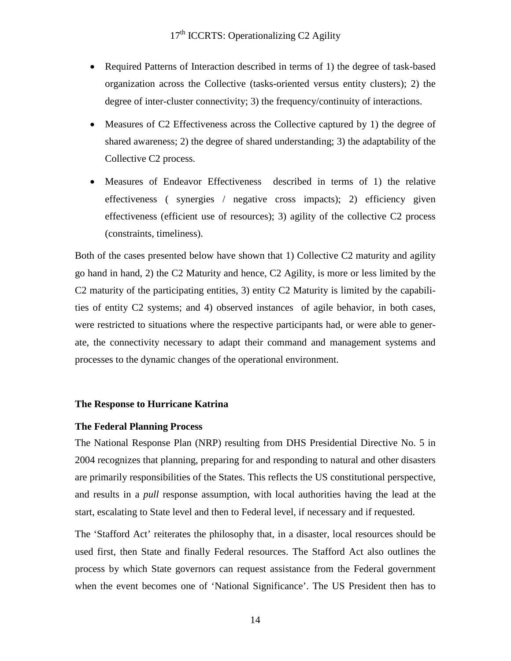- Required Patterns of Interaction described in terms of 1) the degree of task-based organization across the Collective (tasks-oriented versus entity clusters); 2) the degree of inter-cluster connectivity; 3) the frequency/continuity of interactions.
- Measures of C2 Effectiveness across the Collective captured by 1) the degree of shared awareness; 2) the degree of shared understanding; 3) the adaptability of the Collective C2 process.
- Measures of Endeavor Effectiveness described in terms of 1) the relative effectiveness ( synergies / negative cross impacts); 2) efficiency given effectiveness (efficient use of resources); 3) agility of the collective C2 process (constraints, timeliness).

Both of the cases presented below have shown that 1) Collective C2 maturity and agility go hand in hand, 2) the C2 Maturity and hence, C2 Agility, is more or less limited by the C2 maturity of the participating entities, 3) entity C2 Maturity is limited by the capabilities of entity C2 systems; and 4) observed instances of agile behavior, in both cases, were restricted to situations where the respective participants had, or were able to generate, the connectivity necessary to adapt their command and management systems and processes to the dynamic changes of the operational environment.

#### **The Response to Hurricane Katrina**

#### **The Federal Planning Process**

The National Response Plan (NRP) resulting from DHS Presidential Directive No. 5 in 2004 recognizes that planning, preparing for and responding to natural and other disasters are primarily responsibilities of the States. This reflects the US constitutional perspective, and results in a *pull* response assumption, with local authorities having the lead at the start, escalating to State level and then to Federal level, if necessary and if requested.

The 'Stafford Act' reiterates the philosophy that, in a disaster, local resources should be used first, then State and finally Federal resources. The Stafford Act also outlines the process by which State governors can request assistance from the Federal government when the event becomes one of 'National Significance'. The US President then has to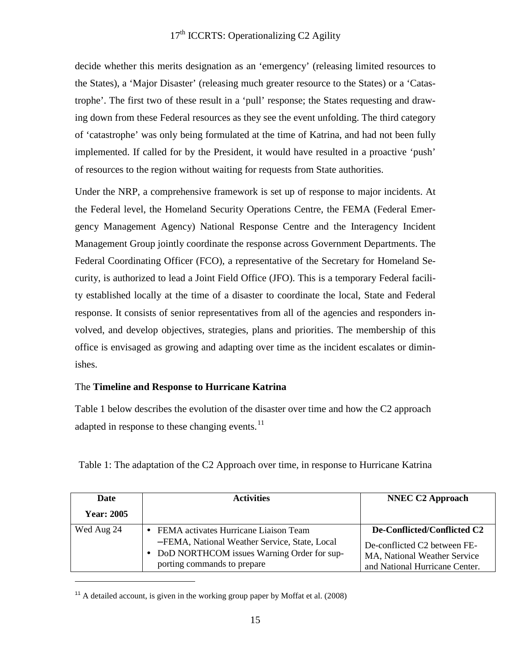decide whether this merits designation as an 'emergency' (releasing limited resources to the States), a 'Major Disaster' (releasing much greater resource to the States) or a 'Catastrophe'. The first two of these result in a 'pull' response; the States requesting and drawing down from these Federal resources as they see the event unfolding. The third category of 'catastrophe' was only being formulated at the time of Katrina, and had not been fully implemented. If called for by the President, it would have resulted in a proactive 'push' of resources to the region without waiting for requests from State authorities.

Under the NRP, a comprehensive framework is set up of response to major incidents. At the Federal level, the Homeland Security Operations Centre, the FEMA (Federal Emergency Management Agency) National Response Centre and the Interagency Incident Management Group jointly coordinate the response across Government Departments. The Federal Coordinating Officer (FCO), a representative of the Secretary for Homeland Security, is authorized to lead a Joint Field Office (JFO). This is a temporary Federal facility established locally at the time of a disaster to coordinate the local, State and Federal response. It consists of senior representatives from all of the agencies and responders involved, and develop objectives, strategies, plans and priorities. The membership of this office is envisaged as growing and adapting over time as the incident escalates or diminishes.

## The **Timeline and Response to Hurricane Katrina**

Table 1 below describes the evolution of the disaster over time and how the C2 approach adapted in response to these changing events.<sup>[11](#page-14-0)</sup>

| Date              | <b>Activities</b>                                                                                                                                                     | <b>NNEC C2 Approach</b>                                                                                                       |
|-------------------|-----------------------------------------------------------------------------------------------------------------------------------------------------------------------|-------------------------------------------------------------------------------------------------------------------------------|
| <b>Year: 2005</b> |                                                                                                                                                                       |                                                                                                                               |
| Wed Aug 24        | FEMA activates Hurricane Liaison Team<br>-FEMA, National Weather Service, State, Local<br>• DoD NORTHCOM issues Warning Order for sup-<br>porting commands to prepare | De-Conflicted/Conflicted C2<br>De-conflicted C2 between FE-<br>MA, National Weather Service<br>and National Hurricane Center. |

Table 1: The adaptation of the C2 Approach over time, in response to Hurricane Katrina

 $\overline{a}$ 

<span id="page-14-0"></span> $11$ <sup>11</sup> A detailed account, is given in the working group paper by Moffat et al. (2008)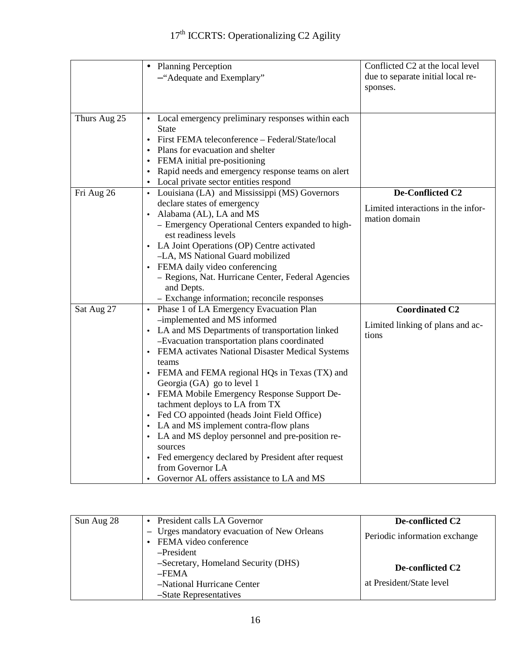|              | <b>Planning Perception</b><br>$\bullet$                                        | Conflicted C2 at the local level   |
|--------------|--------------------------------------------------------------------------------|------------------------------------|
|              | -"Adequate and Exemplary"                                                      | due to separate initial local re-  |
|              |                                                                                | sponses.                           |
|              |                                                                                |                                    |
|              |                                                                                |                                    |
| Thurs Aug 25 | • Local emergency preliminary responses within each                            |                                    |
|              | State                                                                          |                                    |
|              | • First FEMA teleconference - Federal/State/local                              |                                    |
|              | Plans for evacuation and shelter                                               |                                    |
|              | • FEMA initial pre-positioning                                                 |                                    |
|              | Rapid needs and emergency response teams on alert                              |                                    |
|              | • Local private sector entities respond                                        |                                    |
| Fri Aug 26   | • Louisiana (LA) and Mississippi (MS) Governors                                | De-Conflicted C2                   |
|              | declare states of emergency                                                    | Limited interactions in the infor- |
|              | • Alabama (AL), LA and MS                                                      | mation domain                      |
|              | - Emergency Operational Centers expanded to high-                              |                                    |
|              | est readiness levels                                                           |                                    |
|              | • LA Joint Operations (OP) Centre activated                                    |                                    |
|              | -LA, MS National Guard mobilized                                               |                                    |
|              | • FEMA daily video conferencing                                                |                                    |
|              | - Regions, Nat. Hurricane Center, Federal Agencies                             |                                    |
|              | and Depts.                                                                     |                                    |
|              | - Exchange information; reconcile responses                                    |                                    |
| Sat Aug 27   | • Phase 1 of LA Emergency Evacuation Plan                                      | <b>Coordinated C2</b>              |
|              | -implemented and MS informed                                                   | Limited linking of plans and ac-   |
|              | • LA and MS Departments of transportation linked                               | tions                              |
|              | -Evacuation transportation plans coordinated                                   |                                    |
|              | • FEMA activates National Disaster Medical Systems                             |                                    |
|              | teams                                                                          |                                    |
|              | • FEMA and FEMA regional HQs in Texas (TX) and                                 |                                    |
|              | Georgia (GA) go to level 1                                                     |                                    |
|              | • FEMA Mobile Emergency Response Support De-<br>tachment deploys to LA from TX |                                    |
|              | • Fed CO appointed (heads Joint Field Office)                                  |                                    |
|              | • LA and MS implement contra-flow plans                                        |                                    |
|              | • LA and MS deploy personnel and pre-position re-                              |                                    |
|              | sources                                                                        |                                    |
|              | • Fed emergency declared by President after request                            |                                    |
|              | from Governor LA                                                               |                                    |
|              | Governor AL offers assistance to LA and MS                                     |                                    |

| Sun Aug 28 | • President calls LA Governor                                        | De-conflicted C2              |
|------------|----------------------------------------------------------------------|-------------------------------|
|            | - Urges mandatory evacuation of New Orleans<br>FEMA video conference | Periodic information exchange |
|            | -President                                                           |                               |
|            | -Secretary, Homeland Security (DHS)                                  | De-conflicted C <sub>2</sub>  |
|            | $-FEMA$                                                              |                               |
|            | -National Hurricane Center                                           | at President/State level      |
|            | -State Representatives                                               |                               |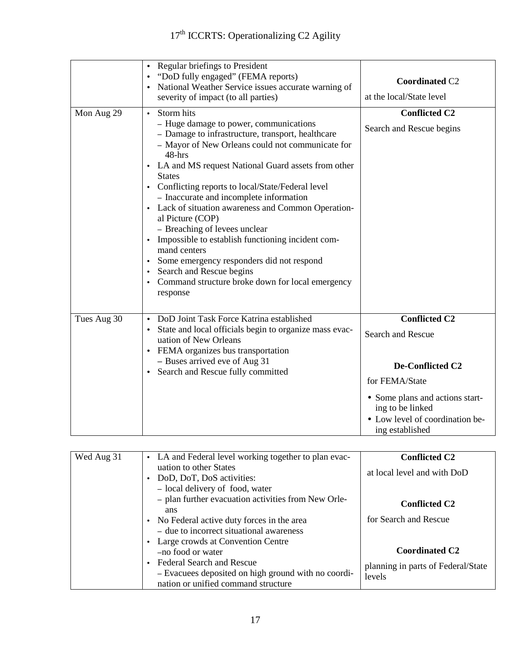|             | <b>Regular briefings to President</b><br>$\bullet$<br>"DoD fully engaged" (FEMA reports)<br>National Weather Service issues accurate warning of<br>severity of impact (to all parties)                                                                                                                                                                                                                                                                                                                                                                                                                                                                                                | <b>Coordinated C2</b><br>at the local/State level                                                                                                                                                   |
|-------------|---------------------------------------------------------------------------------------------------------------------------------------------------------------------------------------------------------------------------------------------------------------------------------------------------------------------------------------------------------------------------------------------------------------------------------------------------------------------------------------------------------------------------------------------------------------------------------------------------------------------------------------------------------------------------------------|-----------------------------------------------------------------------------------------------------------------------------------------------------------------------------------------------------|
| Mon Aug 29  | • Storm hits<br>- Huge damage to power, communications<br>- Damage to infrastructure, transport, healthcare<br>- Mayor of New Orleans could not communicate for<br>48-hrs<br>• LA and MS request National Guard assets from other<br><b>States</b><br>• Conflicting reports to local/State/Federal level<br>- Inaccurate and incomplete information<br>• Lack of situation awareness and Common Operation-<br>al Picture (COP)<br>- Breaching of levees unclear<br>• Impossible to establish functioning incident com-<br>mand centers<br>• Some emergency responders did not respond<br>• Search and Rescue begins<br>• Command structure broke down for local emergency<br>response | <b>Conflicted C2</b><br>Search and Rescue begins                                                                                                                                                    |
| Tues Aug 30 | • DoD Joint Task Force Katrina established<br>• State and local officials begin to organize mass evac-<br>uation of New Orleans<br>• FEMA organizes bus transportation<br>- Buses arrived eve of Aug 31<br>• Search and Rescue fully committed                                                                                                                                                                                                                                                                                                                                                                                                                                        | <b>Conflicted C2</b><br><b>Search and Rescue</b><br>De-Conflicted C2<br>for FEMA/State<br>• Some plans and actions start-<br>ing to be linked<br>• Low level of coordination be-<br>ing established |

| Wed Aug 31 | • LA and Federal level working together to plan evac-          | <b>Conflicted C2</b>               |
|------------|----------------------------------------------------------------|------------------------------------|
|            | uation to other States                                         | at local level and with DoD        |
|            | • DoD, DoT, DoS activities:<br>- local delivery of food, water |                                    |
|            | - plan further evacuation activities from New Orle-<br>ans     | <b>Conflicted C2</b>               |
|            | • No Federal active duty forces in the area                    | for Search and Rescue              |
|            | - due to incorrect situational awareness                       |                                    |
|            | • Large crowds at Convention Centre                            | <b>Coordinated C2</b>              |
|            | -no food or water                                              |                                    |
|            | • Federal Search and Rescue                                    | planning in parts of Federal/State |
|            | - Evacuees deposited on high ground with no coordi-            | levels                             |
|            | nation or unified command structure                            |                                    |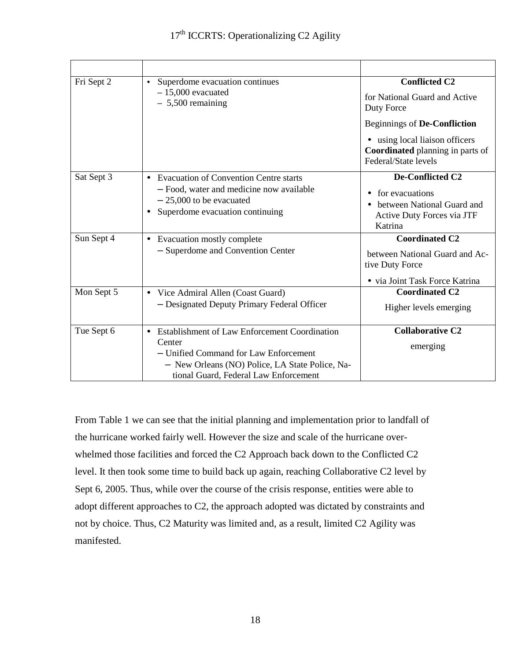| Fri Sept 2 | Superdome evacuation continues<br>$\bullet$<br>$-15,000$ evacuated<br>$-5,500$ remaining                                                                                                                  | <b>Conflicted C2</b><br>for National Guard and Active<br>Duty Force                                                     |
|------------|-----------------------------------------------------------------------------------------------------------------------------------------------------------------------------------------------------------|-------------------------------------------------------------------------------------------------------------------------|
|            |                                                                                                                                                                                                           | <b>Beginnings of De-Confliction</b>                                                                                     |
|            |                                                                                                                                                                                                           | • using local liaison officers<br><b>Coordinated</b> planning in parts of<br>Federal/State levels                       |
| Sat Sept 3 | • Evacuation of Convention Centre starts<br>- Food, water and medicine now available<br>$-25,000$ to be evacuated<br>Superdome evacuation continuing                                                      | De-Conflicted C2<br>for evacuations<br>$\bullet$<br>between National Guard and<br>Active Duty Forces via JTF<br>Katrina |
| Sun Sept 4 | • Evacuation mostly complete<br>- Superdome and Convention Center                                                                                                                                         | <b>Coordinated C2</b><br>between National Guard and Ac-<br>tive Duty Force<br>• via Joint Task Force Katrina            |
| Mon Sept 5 | Vice Admiral Allen (Coast Guard)<br>$\bullet$<br>- Designated Deputy Primary Federal Officer                                                                                                              | <b>Coordinated C2</b><br>Higher levels emerging                                                                         |
| Tue Sept 6 | Establishment of Law Enforcement Coordination<br>$\bullet$<br>Center<br>- Unified Command for Law Enforcement<br>- New Orleans (NO) Police, LA State Police, Na-<br>tional Guard, Federal Law Enforcement | <b>Collaborative C2</b><br>emerging                                                                                     |

From Table 1 we can see that the initial planning and implementation prior to landfall of the hurricane worked fairly well. However the size and scale of the hurricane overwhelmed those facilities and forced the C2 Approach back down to the Conflicted C2 level. It then took some time to build back up again, reaching Collaborative C2 level by Sept 6, 2005. Thus, while over the course of the crisis response, entities were able to adopt different approaches to C2, the approach adopted was dictated by constraints and not by choice. Thus, C2 Maturity was limited and, as a result, limited C2 Agility was manifested.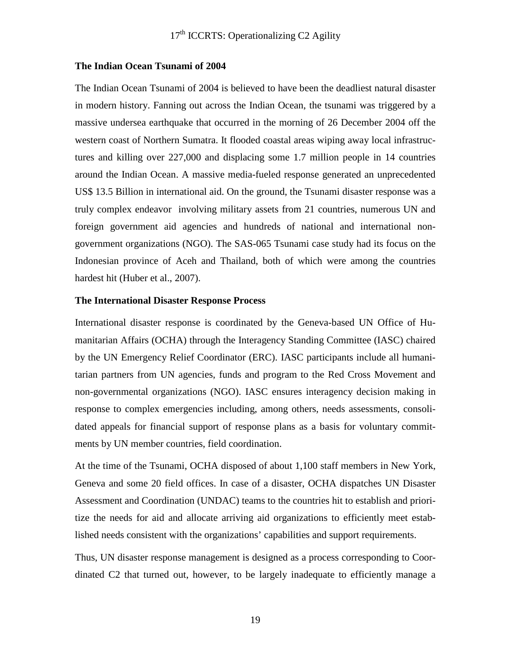#### **The Indian Ocean Tsunami of 2004**

The Indian Ocean Tsunami of 2004 is believed to have been the deadliest natural disaster in modern history. Fanning out across the Indian Ocean, the tsunami was triggered by a massive undersea earthquake that occurred in the morning of 26 December 2004 off the western coast of Northern Sumatra. It flooded coastal areas wiping away local infrastructures and killing over 227,000 and displacing some 1.7 million people in 14 countries around the Indian Ocean. A massive media-fueled response generated an unprecedented US\$ 13.5 Billion in international aid. On the ground, the Tsunami disaster response was a truly complex endeavor involving military assets from 21 countries, numerous UN and foreign government aid agencies and hundreds of national and international nongovernment organizations (NGO). The SAS-065 Tsunami case study had its focus on the Indonesian province of Aceh and Thailand, both of which were among the countries hardest hit (Huber et al., 2007).

#### **The International Disaster Response Process**

International disaster response is coordinated by the Geneva-based UN Office of Humanitarian Affairs (OCHA) through the Interagency Standing Committee (IASC) chaired by the UN Emergency Relief Coordinator (ERC). IASC participants include all humanitarian partners from UN agencies, funds and program to the Red Cross Movement and non-governmental organizations (NGO). IASC ensures interagency decision making in response to complex emergencies including, among others, needs assessments, consolidated appeals for financial support of response plans as a basis for voluntary commitments by UN member countries, field coordination.

At the time of the Tsunami, OCHA disposed of about 1,100 staff members in New York, Geneva and some 20 field offices. In case of a disaster, OCHA dispatches UN Disaster Assessment and Coordination (UNDAC) teams to the countries hit to establish and prioritize the needs for aid and allocate arriving aid organizations to efficiently meet established needs consistent with the organizations' capabilities and support requirements.

Thus, UN disaster response management is designed as a process corresponding to Coordinated C2 that turned out, however, to be largely inadequate to efficiently manage a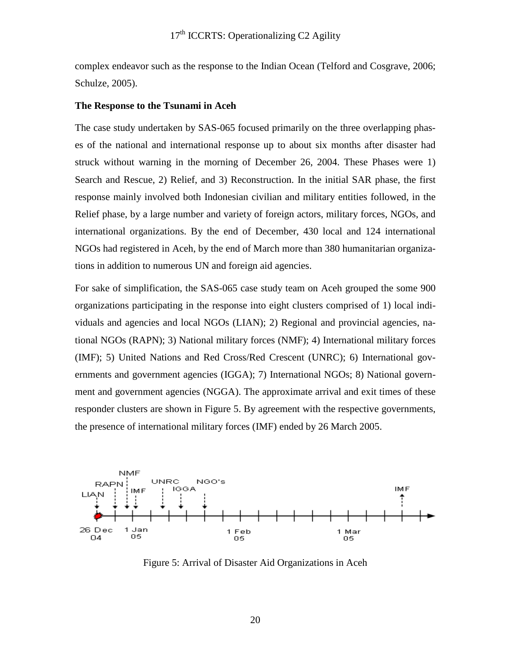complex endeavor such as the response to the Indian Ocean (Telford and Cosgrave, 2006; Schulze, 2005).

#### **The Response to the Tsunami in Aceh**

The case study undertaken by SAS-065 focused primarily on the three overlapping phases of the national and international response up to about six months after disaster had struck without warning in the morning of December 26, 2004. These Phases were 1) Search and Rescue, 2) Relief, and 3) Reconstruction. In the initial SAR phase, the first response mainly involved both Indonesian civilian and military entities followed, in the Relief phase, by a large number and variety of foreign actors, military forces, NGOs, and international organizations. By the end of December, 430 local and 124 international NGOs had registered in Aceh, by the end of March more than 380 humanitarian organizations in addition to numerous UN and foreign aid agencies.

For sake of simplification, the SAS-065 case study team on Aceh grouped the some 900 organizations participating in the response into eight clusters comprised of 1) local individuals and agencies and local NGOs (LIAN); 2) Regional and provincial agencies, national NGOs (RAPN); 3) National military forces (NMF); 4) International military forces (IMF); 5) United Nations and Red Cross/Red Crescent (UNRC); 6) International governments and government agencies (IGGA); 7) International NGOs; 8) National government and government agencies (NGGA). The approximate arrival and exit times of these responder clusters are shown in Figure 5. By agreement with the respective governments, the presence of international military forces (IMF) ended by 26 March 2005.



Figure 5: Arrival of Disaster Aid Organizations in Aceh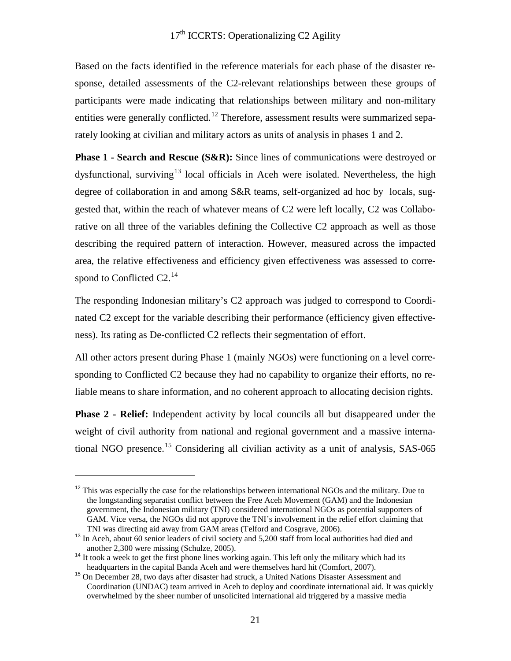Based on the facts identified in the reference materials for each phase of the disaster response, detailed assessments of the C2-relevant relationships between these groups of participants were made indicating that relationships between military and non-military entities were generally conflicted.<sup>[12](#page-20-0)</sup> Therefore, assessment results were summarized separately looking at civilian and military actors as units of analysis in phases 1 and 2.

**Phase 1 - Search and Rescue (S&R):** Since lines of communications were destroyed or dysfunctional, surviving<sup>[13](#page-20-1)</sup> local officials in Aceh were isolated. Nevertheless, the high degree of collaboration in and among S&R teams, self-organized ad hoc by locals, suggested that, within the reach of whatever means of C2 were left locally, C2 was Collaborative on all three of the variables defining the Collective C2 approach as well as those describing the required pattern of interaction. However, measured across the impacted area, the relative effectiveness and efficiency given effectiveness was assessed to corre-spond to Conflicted C2.<sup>[14](#page-20-2)</sup>

The responding Indonesian military's C2 approach was judged to correspond to Coordinated C2 except for the variable describing their performance (efficiency given effectiveness). Its rating as De-conflicted C2 reflects their segmentation of effort.

All other actors present during Phase 1 (mainly NGOs) were functioning on a level corresponding to Conflicted C2 because they had no capability to organize their efforts, no reliable means to share information, and no coherent approach to allocating decision rights.

**Phase 2 - Relief:** Independent activity by local councils all but disappeared under the weight of civil authority from national and regional government and a massive interna-tional NGO presence.<sup>[15](#page-20-3)</sup> Considering all civilian activity as a unit of analysis, SAS-065

 $\overline{a}$ 

<span id="page-20-0"></span> $12$  This was especially the case for the relationships between international NGOs and the military. Due to the longstanding separatist conflict between the Free Aceh Movement (GAM) and the Indonesian government, the Indonesian military (TNI) considered international NGOs as potential supporters of GAM. Vice versa, the NGOs did not approve the TNI's involvement in the relief effort claiming that TNI was directing aid away from GAM areas (Telford and Cosgrave, 2006).

<span id="page-20-1"></span><sup>&</sup>lt;sup>13</sup> In Aceh, about 60 senior leaders of civil society and 5,200 staff from local authorities had died and another 2,300 were missing (Schulze, 2005).

<span id="page-20-2"></span><sup>&</sup>lt;sup>14</sup> It took a week to get the first phone lines working again. This left only the military which had its headquarters in the capital Banda Aceh and were themselves hard hit (Comfort, 2007).

<span id="page-20-3"></span><sup>&</sup>lt;sup>15</sup> On December 28, two days after disaster had struck, a United Nations Disaster Assessment and Coordination (UNDAC) team arrived in Aceh to deploy and coordinate international aid. It was quickly overwhelmed by the sheer number of unsolicited international aid triggered by a massive media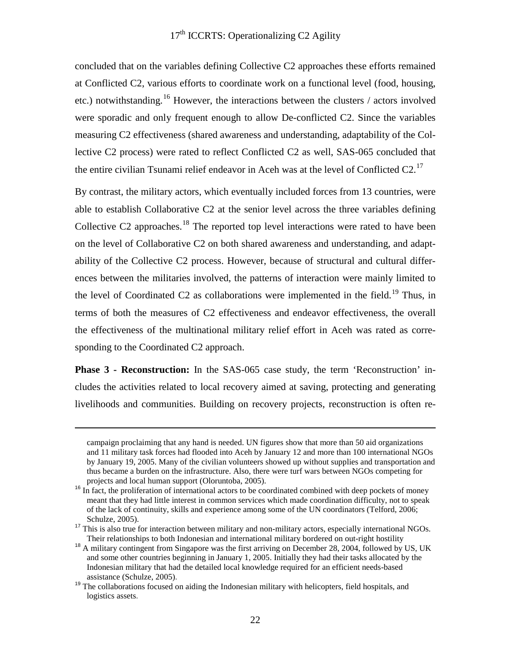concluded that on the variables defining Collective C2 approaches these efforts remained at Conflicted C2, various efforts to coordinate work on a functional level (food, housing, etc.) notwithstanding.<sup>[16](#page-21-0)</sup> However, the interactions between the clusters / actors involved were sporadic and only frequent enough to allow De-conflicted C2. Since the variables measuring C2 effectiveness (shared awareness and understanding, adaptability of the Collective C2 process) were rated to reflect Conflicted C2 as well, SAS-065 concluded that the entire civilian Tsunami relief endeavor in Aceh was at the level of Conflicted  $C2$ .<sup>[17](#page-21-1)</sup>

By contrast, the military actors, which eventually included forces from 13 countries, were able to establish Collaborative C2 at the senior level across the three variables defining Collective C2 approaches.<sup>[18](#page-21-2)</sup> The reported top level interactions were rated to have been on the level of Collaborative C2 on both shared awareness and understanding, and adaptability of the Collective C2 process. However, because of structural and cultural differences between the militaries involved, the patterns of interaction were mainly limited to the level of Coordinated C2 as collaborations were implemented in the field.<sup>[19](#page-21-3)</sup> Thus, in terms of both the measures of C2 effectiveness and endeavor effectiveness, the overall the effectiveness of the multinational military relief effort in Aceh was rated as corresponding to the Coordinated C2 approach.

**Phase 3 - Reconstruction:** In the SAS-065 case study, the term 'Reconstruction' includes the activities related to local recovery aimed at saving, protecting and generating livelihoods and communities. Building on recovery projects, reconstruction is often re-

-

campaign proclaiming that any hand is needed. UN figures show that more than 50 aid organizations and 11 military task forces had flooded into Aceh by January 12 and more than 100 international NGOs by January 19, 2005. Many of the civilian volunteers showed up without supplies and transportation and thus became a burden on the infrastructure. Also, there were turf wars between NGOs competing for projects and local human support (Oloruntoba, 2005).

<span id="page-21-0"></span><sup>&</sup>lt;sup>16</sup> In fact, the proliferation of international actors to be coordinated combined with deep pockets of money meant that they had little interest in common services which made coordination difficulty, not to speak of the lack of continuity, skills and experience among some of the UN coordinators (Telford, 2006;

<span id="page-21-1"></span>Schulze, 2005).<br><sup>17</sup> This is also true for interaction between military and non-military actors, especially international NGOs. Their relationships to both Indonesian and international military bordered on out-right hostility

<span id="page-21-2"></span><sup>&</sup>lt;sup>18</sup> A military contingent from Singapore was the first arriving on December 28, 2004, followed by US, UK and some other countries beginning in January 1, 2005. Initially they had their tasks allocated by the Indonesian military that had the detailed local knowledge required for an efficient needs-based

<span id="page-21-3"></span>assistance (Schulze, 2005).<br><sup>19</sup> The collaborations focused on aiding the Indonesian military with helicopters, field hospitals, and logistics assets.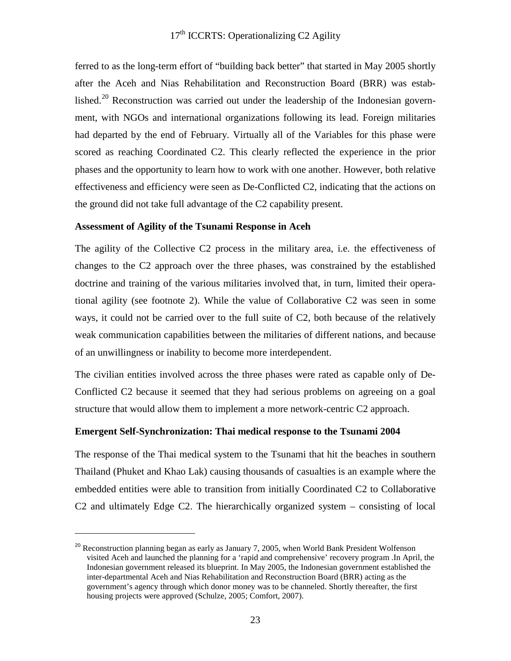ferred to as the long-term effort of "building back better" that started in May 2005 shortly after the Aceh and Nias Rehabilitation and Reconstruction Board (BRR) was estab-lished.<sup>[20](#page-22-0)</sup> Reconstruction was carried out under the leadership of the Indonesian government, with NGOs and international organizations following its lead. Foreign militaries had departed by the end of February. Virtually all of the Variables for this phase were scored as reaching Coordinated C2. This clearly reflected the experience in the prior phases and the opportunity to learn how to work with one another. However, both relative effectiveness and efficiency were seen as De-Conflicted C2, indicating that the actions on the ground did not take full advantage of the C2 capability present.

#### **Assessment of Agility of the Tsunami Response in Aceh**

 $\overline{a}$ 

The agility of the Collective C2 process in the military area, i.e. the effectiveness of changes to the C2 approach over the three phases, was constrained by the established doctrine and training of the various militaries involved that, in turn, limited their operational agility (see footnote 2). While the value of Collaborative C2 was seen in some ways, it could not be carried over to the full suite of C2, both because of the relatively weak communication capabilities between the militaries of different nations, and because of an unwillingness or inability to become more interdependent.

The civilian entities involved across the three phases were rated as capable only of De-Conflicted C2 because it seemed that they had serious problems on agreeing on a goal structure that would allow them to implement a more network-centric C2 approach.

#### **Emergent Self-Synchronization: Thai medical response to the Tsunami 2004**

The response of the Thai medical system to the Tsunami that hit the beaches in southern Thailand (Phuket and Khao Lak) causing thousands of casualties is an example where the embedded entities were able to transition from initially Coordinated C2 to Collaborative C2 and ultimately Edge C2. The hierarchically organized system – consisting of local

<span id="page-22-0"></span><sup>&</sup>lt;sup>20</sup> Reconstruction planning began as early as January 7, 2005, when World Bank President Wolfenson visited Aceh and launched the planning for a 'rapid and comprehensive' recovery program .In April, the Indonesian government released its blueprint. In May 2005, the Indonesian government established the inter-departmental Aceh and Nias Rehabilitation and Reconstruction Board (BRR) acting as the government's agency through which donor money was to be channeled. Shortly thereafter, the first housing projects were approved (Schulze, 2005; Comfort, 2007).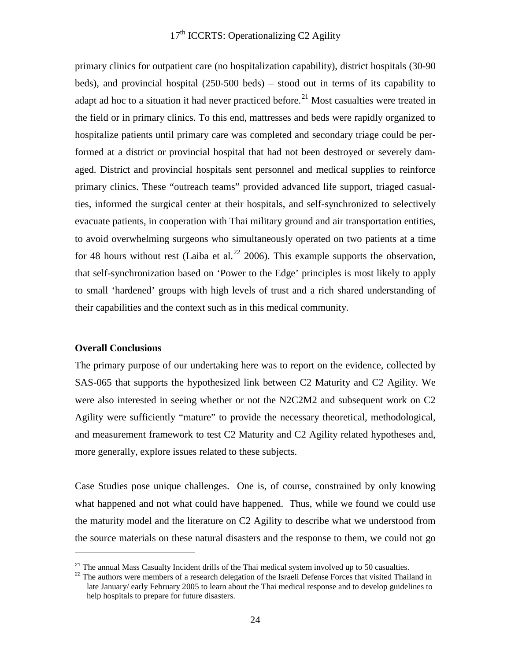primary clinics for outpatient care (no hospitalization capability), district hospitals (30-90 beds), and provincial hospital (250-500 beds) – stood out in terms of its capability to adapt ad hoc to a situation it had never practiced before.<sup>[21](#page-23-0)</sup> Most casualties were treated in the field or in primary clinics. To this end, mattresses and beds were rapidly organized to hospitalize patients until primary care was completed and secondary triage could be performed at a district or provincial hospital that had not been destroyed or severely damaged. District and provincial hospitals sent personnel and medical supplies to reinforce primary clinics. These "outreach teams" provided advanced life support, triaged casualties, informed the surgical center at their hospitals, and self-synchronized to selectively evacuate patients, in cooperation with Thai military ground and air transportation entities, to avoid overwhelming surgeons who simultaneously operated on two patients at a time for 48 hours without rest (Laiba et al.<sup>[22](#page-23-1)</sup> 2006). This example supports the observation, that self-synchronization based on 'Power to the Edge' principles is most likely to apply to small 'hardened' groups with high levels of trust and a rich shared understanding of their capabilities and the context such as in this medical community.

#### **Overall Conclusions**

 $\overline{a}$ 

The primary purpose of our undertaking here was to report on the evidence, collected by SAS-065 that supports the hypothesized link between C2 Maturity and C2 Agility. We were also interested in seeing whether or not the N2C2M2 and subsequent work on C2 Agility were sufficiently "mature" to provide the necessary theoretical, methodological, and measurement framework to test C2 Maturity and C2 Agility related hypotheses and, more generally, explore issues related to these subjects.

Case Studies pose unique challenges. One is, of course, constrained by only knowing what happened and not what could have happened. Thus, while we found we could use the maturity model and the literature on C2 Agility to describe what we understood from the source materials on these natural disasters and the response to them, we could not go

<span id="page-23-0"></span><sup>&</sup>lt;sup>21</sup> The annual Mass Casualty Incident drills of the Thai medical system involved up to 50 casualties.

<span id="page-23-1"></span><sup>&</sup>lt;sup>22</sup> The authors were members of a research delegation of the Israeli Defense Forces that visited Thailand in late January/ early February 2005 to learn about the Thai medical response and to develop guidelines to help hospitals to prepare for future disasters.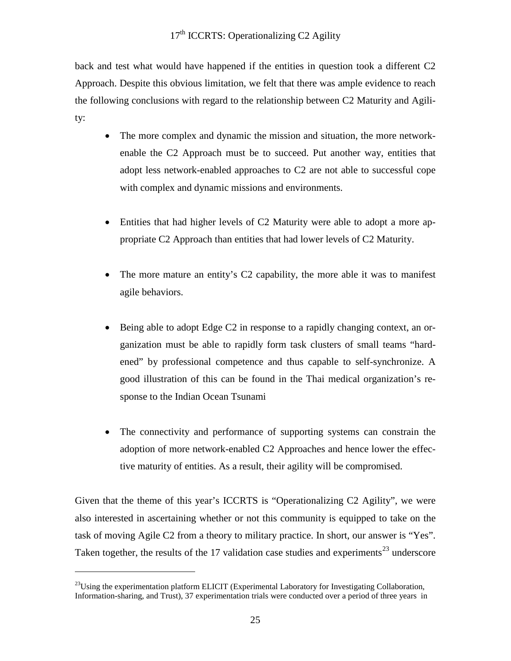back and test what would have happened if the entities in question took a different C2 Approach. Despite this obvious limitation, we felt that there was ample evidence to reach the following conclusions with regard to the relationship between C2 Maturity and Agility:

- The more complex and dynamic the mission and situation, the more networkenable the C2 Approach must be to succeed. Put another way, entities that adopt less network-enabled approaches to C2 are not able to successful cope with complex and dynamic missions and environments.
- Entities that had higher levels of C2 Maturity were able to adopt a more appropriate C2 Approach than entities that had lower levels of C2 Maturity.
- The more mature an entity's C2 capability, the more able it was to manifest agile behaviors.
- Being able to adopt Edge C2 in response to a rapidly changing context, an organization must be able to rapidly form task clusters of small teams "hardened" by professional competence and thus capable to self-synchronize. A good illustration of this can be found in the Thai medical organization's response to the Indian Ocean Tsunami
- The connectivity and performance of supporting systems can constrain the adoption of more network-enabled C2 Approaches and hence lower the effective maturity of entities. As a result, their agility will be compromised.

Given that the theme of this year's ICCRTS is "Operationalizing C2 Agility", we were also interested in ascertaining whether or not this community is equipped to take on the task of moving Agile C2 from a theory to military practice. In short, our answer is "Yes". Taken together, the results of the 17 validation case studies and experiments<sup>[23](#page-24-0)</sup> underscore

 $\overline{a}$ 

<span id="page-24-0"></span> $^{23}$ Using the experimentation platform ELICIT (Experimental Laboratory for Investigating Collaboration, Information-sharing, and Trust), 37 experimentation trials were conducted over a period of three years in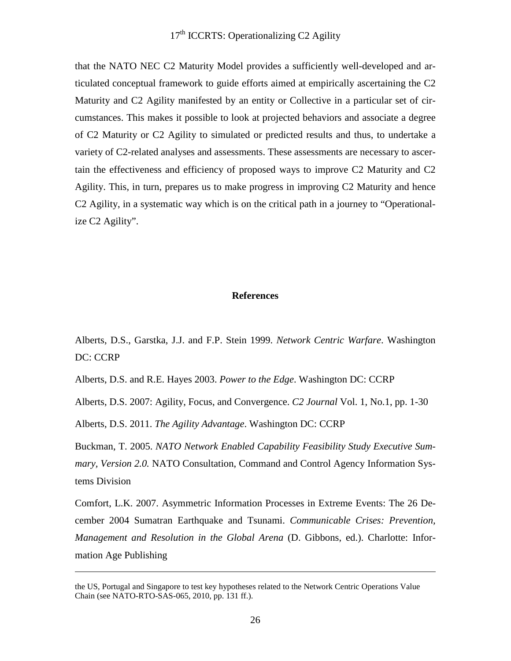that the NATO NEC C2 Maturity Model provides a sufficiently well-developed and articulated conceptual framework to guide efforts aimed at empirically ascertaining the C2 Maturity and C2 Agility manifested by an entity or Collective in a particular set of circumstances. This makes it possible to look at projected behaviors and associate a degree of C2 Maturity or C2 Agility to simulated or predicted results and thus, to undertake a variety of C2-related analyses and assessments. These assessments are necessary to ascertain the effectiveness and efficiency of proposed ways to improve C2 Maturity and C2 Agility. This, in turn, prepares us to make progress in improving C2 Maturity and hence C2 Agility, in a systematic way which is on the critical path in a journey to "Operationalize C2 Agility".

#### **References**

Alberts, D.S., Garstka, J.J. and F.P. Stein 1999. *Network Centric Warfare*. Washington DC: CCRP

Alberts, D.S. and R.E. Hayes 2003. *Power to the Edge*. Washington DC: CCRP

Alberts, D.S. 2007: Agility, Focus, and Convergence. *C2 Journal* Vol. 1, No.1, pp. 1-30

Alberts, D.S. 2011. *The Agility Advantage*. Washington DC: CCRP

-

Buckman, T. 2005. *NATO Network Enabled Capability Feasibility Study Executive Summary, Version 2.0.* NATO Consultation, Command and Control Agency Information Systems Division

Comfort, L.K. 2007. Asymmetric Information Processes in Extreme Events: The 26 December 2004 Sumatran Earthquake and Tsunami. *Communicable Crises: Prevention, Management and Resolution in the Global Arena* (D. Gibbons, ed.). Charlotte: Information Age Publishing

the US, Portugal and Singapore to test key hypotheses related to the Network Centric Operations Value Chain (see NATO-RTO-SAS-065, 2010, pp. 131 ff.).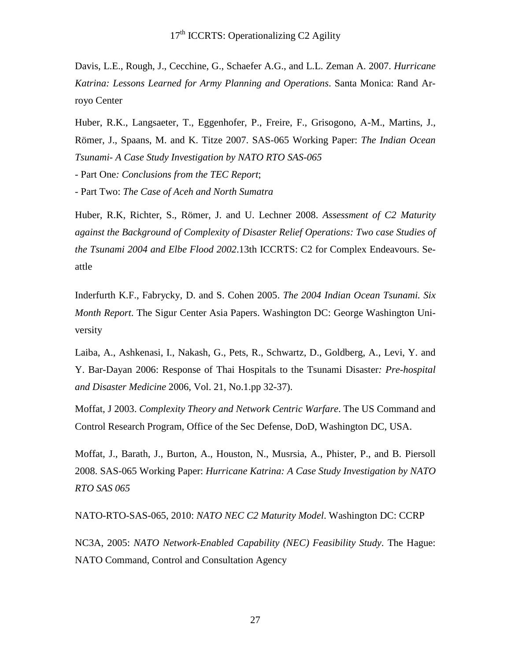Davis, L.E., Rough, J., Cecchine, G., Schaefer A.G., and L.L. Zeman A. 2007. *Hurricane Katrina: Lessons Learned for Army Planning and Operations*. Santa Monica: Rand Arroyo Center

Huber, R.K., Langsaeter, T., Eggenhofer, P., Freire, F., Grisogono, A-M., Martins, J., Römer, J., Spaans, M. and K. Titze 2007. SAS-065 Working Paper: *The Indian Ocean Tsunami- A Case Study Investigation by NATO RTO SAS-065*

- Part One*: Conclusions from the TEC Report*;

- Part Two: *The Case of Aceh and North Sumatra*

Huber, R.K, Richter, S., Römer, J. and U. Lechner 2008. *Assessment of C2 Maturity against the Background of Complexity of Disaster Relief Operations: Two case Studies of the Tsunami 2004 and Elbe Flood 2002*.13th ICCRTS: C2 for Complex Endeavours. Seattle

Inderfurth K.F., Fabrycky, D. and S. Cohen 2005. *The 2004 Indian Ocean Tsunami. Six Month Report*. The Sigur Center Asia Papers. Washington DC: George Washington University

Laiba, A., Ashkenasi, I., Nakash, G., Pets, R., Schwartz, D., Goldberg, A., Levi, Y. and Y. Bar-Dayan 2006: Response of Thai Hospitals to the Tsunami Disaster*: Pre-hospital and Disaster Medicine* 2006, Vol. 21, No.1.pp 32-37).

Moffat, J 2003. *Complexity Theory and Network Centric Warfare*. The US Command and Control Research Program, Office of the Sec Defense, DoD, Washington DC, USA.

Moffat, J., Barath, J., Burton, A., Houston, N., Musrsia, A., Phister, P., and B. Piersoll 2008. SAS-065 Working Paper: *Hurricane Katrina: A Case Study Investigation by NATO RTO SAS 065*

NATO-RTO-SAS-065, 2010: *NATO NEC C2 Maturity Model*. Washington DC: CCRP

NC3A, 2005: *NATO Network-Enabled Capability (NEC) Feasibility Study*. The Hague: NATO Command, Control and Consultation Agency